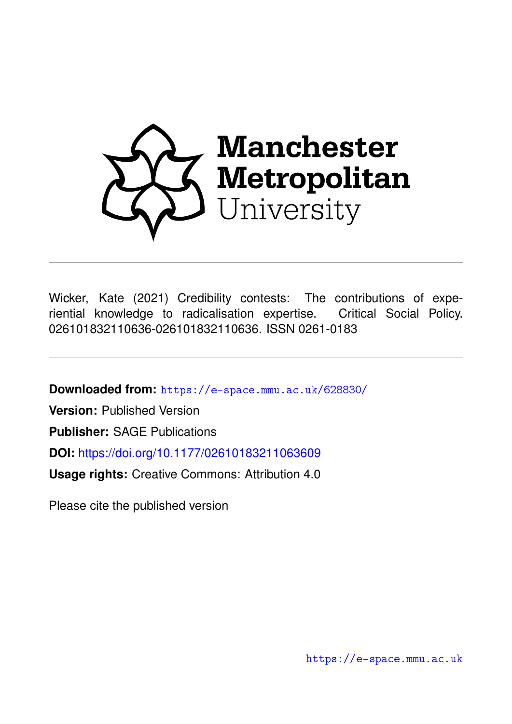

Wicker, Kate (2021) Credibility contests: The contributions of experiential knowledge to radicalisation expertise. Critical Social Policy. 026101832110636-026101832110636. ISSN 0261-0183

**Downloaded from:** <https://e-space.mmu.ac.uk/628830/>

**Version:** Published Version

**Publisher:** SAGE Publications

**DOI:** <https://doi.org/10.1177/02610183211063609>

**Usage rights:** Creative Commons: Attribution 4.0

Please cite the published version

<https://e-space.mmu.ac.uk>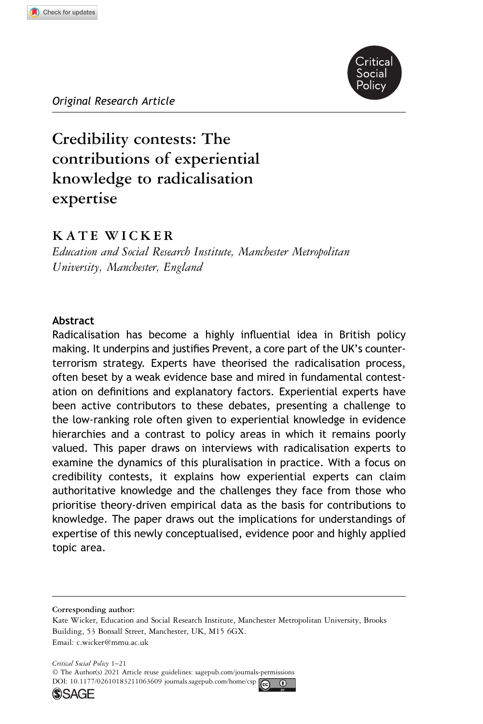

Original Research Article  $\overline{\phantom{a}}$  .  $\overline{\phantom{a}}$ 

# Credibility contests: The contributions of experiential knowledge to radicalisation expertise

### KATE WICKER

Education and Social Research Institute, Manchester Metropolitan University, Manchester, England

#### Abstract

Radicalisation has become a highly influential idea in British policy making. It underpins and justifies Prevent, a core part of the UK's counterterrorism strategy. Experts have theorised the radicalisation process, often beset by a weak evidence base and mired in fundamental contestation on definitions and explanatory factors. Experiential experts have been active contributors to these debates, presenting a challenge to the low-ranking role often given to experiential knowledge in evidence hierarchies and a contrast to policy areas in which it remains poorly valued. This paper draws on interviews with radicalisation experts to examine the dynamics of this pluralisation in practice. With a focus on credibility contests, it explains how experiential experts can claim authoritative knowledge and the challenges they face from those who prioritise theory-driven empirical data as the basis for contributions to knowledge. The paper draws out the implications for understandings of expertise of this newly conceptualised, evidence poor and highly applied topic area.

Corresponding author:





Kate Wicker, Education and Social Research Institute, Manchester Metropolitan University, Brooks Building, 53 Bonsall Street, Manchester, UK, M15 6GX. Email: [c.wicker@mmu.ac.uk](mailto:c.wicker@mmu.ac.uk)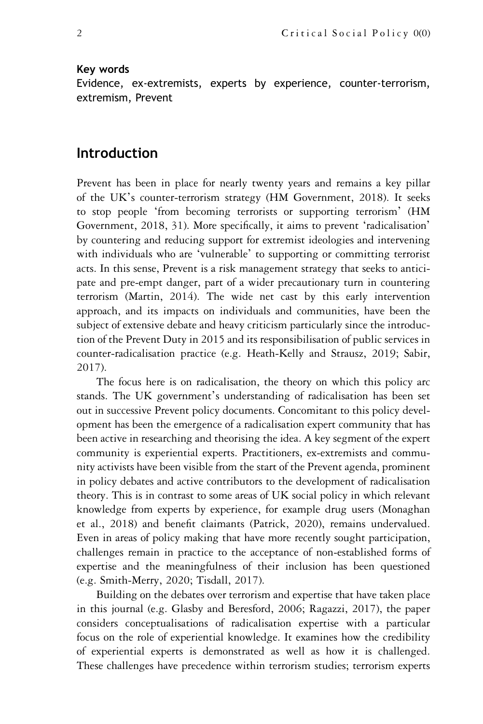#### Key words

Evidence, ex-extremists, experts by experience, counter-terrorism, extremism, Prevent

### Introduction

Prevent has been in place for nearly twenty years and remains a key pillar of the UK's counter-terrorism strategy (HM Government, 2018). It seeks to stop people 'from becoming terrorists or supporting terrorism' (HM Government, 2018, 31). More specifically, it aims to prevent 'radicalisation' by countering and reducing support for extremist ideologies and intervening with individuals who are 'vulnerable' to supporting or committing terrorist acts. In this sense, Prevent is a risk management strategy that seeks to anticipate and pre-empt danger, part of a wider precautionary turn in countering terrorism (Martin, 2014). The wide net cast by this early intervention approach, and its impacts on individuals and communities, have been the subject of extensive debate and heavy criticism particularly since the introduction of the Prevent Duty in 2015 and its responsibilisation of public services in counter-radicalisation practice (e.g. Heath-Kelly and Strausz, 2019; Sabir, 2017).

The focus here is on radicalisation, the theory on which this policy arc stands. The UK government's understanding of radicalisation has been set out in successive Prevent policy documents. Concomitant to this policy development has been the emergence of a radicalisation expert community that has been active in researching and theorising the idea. A key segment of the expert community is experiential experts. Practitioners, ex-extremists and community activists have been visible from the start of the Prevent agenda, prominent in policy debates and active contributors to the development of radicalisation theory. This is in contrast to some areas of UK social policy in which relevant knowledge from experts by experience, for example drug users (Monaghan et al., 2018) and benefit claimants (Patrick, 2020), remains undervalued. Even in areas of policy making that have more recently sought participation, challenges remain in practice to the acceptance of non-established forms of expertise and the meaningfulness of their inclusion has been questioned (e.g. Smith-Merry, 2020; Tisdall, 2017).

Building on the debates over terrorism and expertise that have taken place in this journal (e.g. Glasby and Beresford, 2006; Ragazzi, 2017), the paper considers conceptualisations of radicalisation expertise with a particular focus on the role of experiential knowledge. It examines how the credibility of experiential experts is demonstrated as well as how it is challenged. These challenges have precedence within terrorism studies; terrorism experts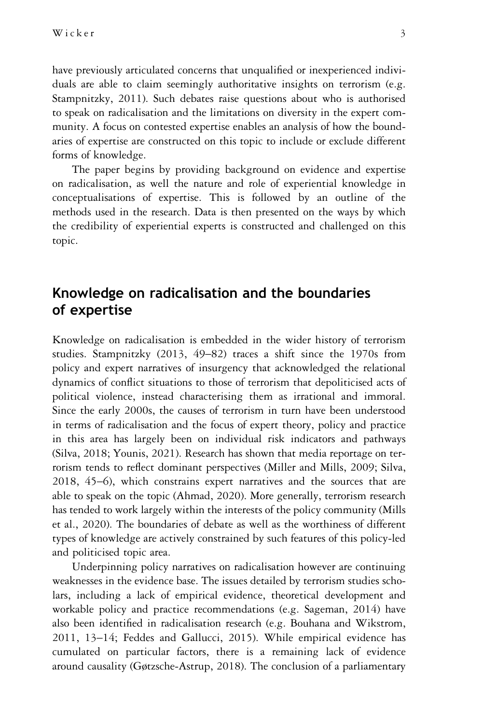have previously articulated concerns that unqualified or inexperienced individuals are able to claim seemingly authoritative insights on terrorism (e.g. Stampnitzky, 2011). Such debates raise questions about who is authorised to speak on radicalisation and the limitations on diversity in the expert community. A focus on contested expertise enables an analysis of how the boundaries of expertise are constructed on this topic to include or exclude different forms of knowledge.

The paper begins by providing background on evidence and expertise on radicalisation, as well the nature and role of experiential knowledge in conceptualisations of expertise. This is followed by an outline of the methods used in the research. Data is then presented on the ways by which the credibility of experiential experts is constructed and challenged on this topic.

# Knowledge on radicalisation and the boundaries of expertise

Knowledge on radicalisation is embedded in the wider history of terrorism studies. Stampnitzky (2013, 49–82) traces a shift since the 1970s from policy and expert narratives of insurgency that acknowledged the relational dynamics of conflict situations to those of terrorism that depoliticised acts of political violence, instead characterising them as irrational and immoral. Since the early 2000s, the causes of terrorism in turn have been understood in terms of radicalisation and the focus of expert theory, policy and practice in this area has largely been on individual risk indicators and pathways (Silva, 2018; Younis, 2021). Research has shown that media reportage on terrorism tends to reflect dominant perspectives (Miller and Mills, 2009; Silva, 2018, 45–6), which constrains expert narratives and the sources that are able to speak on the topic (Ahmad, 2020). More generally, terrorism research has tended to work largely within the interests of the policy community (Mills et al., 2020). The boundaries of debate as well as the worthiness of different types of knowledge are actively constrained by such features of this policy-led and politicised topic area.

Underpinning policy narratives on radicalisation however are continuing weaknesses in the evidence base. The issues detailed by terrorism studies scholars, including a lack of empirical evidence, theoretical development and workable policy and practice recommendations (e.g. Sageman, 2014) have also been identified in radicalisation research (e.g. Bouhana and Wikstrom, 2011, 13–14; Feddes and Gallucci, 2015). While empirical evidence has cumulated on particular factors, there is a remaining lack of evidence around causality (Gøtzsche-Astrup, 2018). The conclusion of a parliamentary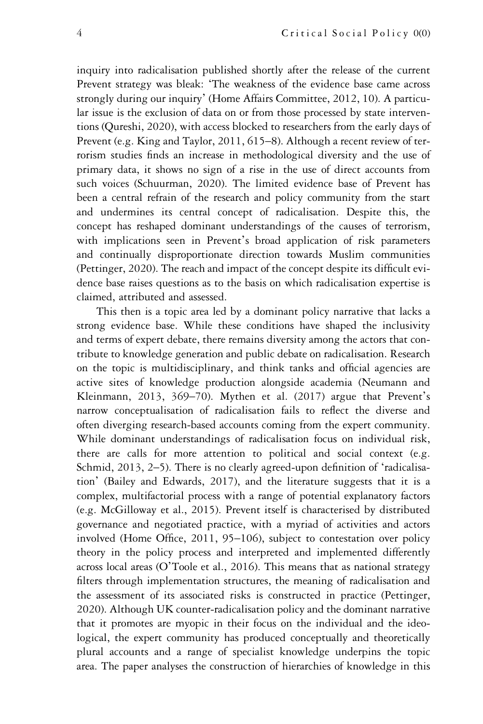inquiry into radicalisation published shortly after the release of the current Prevent strategy was bleak: 'The weakness of the evidence base came across strongly during our inquiry' (Home Affairs Committee, 2012, 10). A particular issue is the exclusion of data on or from those processed by state interventions (Qureshi, 2020), with access blocked to researchers from the early days of Prevent (e.g. King and Taylor, 2011, 615–8). Although a recent review of terrorism studies finds an increase in methodological diversity and the use of primary data, it shows no sign of a rise in the use of direct accounts from such voices (Schuurman, 2020). The limited evidence base of Prevent has been a central refrain of the research and policy community from the start and undermines its central concept of radicalisation. Despite this, the concept has reshaped dominant understandings of the causes of terrorism, with implications seen in Prevent's broad application of risk parameters and continually disproportionate direction towards Muslim communities (Pettinger, 2020). The reach and impact of the concept despite its difficult evidence base raises questions as to the basis on which radicalisation expertise is claimed, attributed and assessed.

This then is a topic area led by a dominant policy narrative that lacks a strong evidence base. While these conditions have shaped the inclusivity and terms of expert debate, there remains diversity among the actors that contribute to knowledge generation and public debate on radicalisation. Research on the topic is multidisciplinary, and think tanks and official agencies are active sites of knowledge production alongside academia (Neumann and Kleinmann, 2013, 369–70). Mythen et al. (2017) argue that Prevent's narrow conceptualisation of radicalisation fails to reflect the diverse and often diverging research-based accounts coming from the expert community. While dominant understandings of radicalisation focus on individual risk, there are calls for more attention to political and social context (e.g. Schmid, 2013, 2–5). There is no clearly agreed-upon definition of 'radicalisation' (Bailey and Edwards, 2017), and the literature suggests that it is a complex, multifactorial process with a range of potential explanatory factors (e.g. McGilloway et al., 2015). Prevent itself is characterised by distributed governance and negotiated practice, with a myriad of activities and actors involved (Home Office, 2011, 95–106), subject to contestation over policy theory in the policy process and interpreted and implemented differently across local areas (O'Toole et al., 2016). This means that as national strategy filters through implementation structures, the meaning of radicalisation and the assessment of its associated risks is constructed in practice (Pettinger, 2020). Although UK counter-radicalisation policy and the dominant narrative that it promotes are myopic in their focus on the individual and the ideological, the expert community has produced conceptually and theoretically plural accounts and a range of specialist knowledge underpins the topic area. The paper analyses the construction of hierarchies of knowledge in this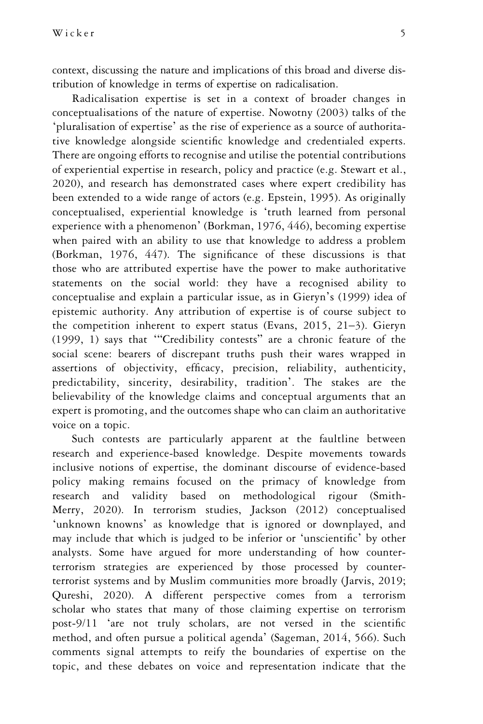context, discussing the nature and implications of this broad and diverse distribution of knowledge in terms of expertise on radicalisation.

Radicalisation expertise is set in a context of broader changes in conceptualisations of the nature of expertise. Nowotny (2003) talks of the 'pluralisation of expertise' as the rise of experience as a source of authoritative knowledge alongside scientific knowledge and credentialed experts. There are ongoing efforts to recognise and utilise the potential contributions of experiential expertise in research, policy and practice (e.g. Stewart et al., 2020), and research has demonstrated cases where expert credibility has been extended to a wide range of actors (e.g. Epstein, 1995). As originally conceptualised, experiential knowledge is 'truth learned from personal experience with a phenomenon' (Borkman, 1976, 446), becoming expertise when paired with an ability to use that knowledge to address a problem (Borkman, 1976, 447). The significance of these discussions is that those who are attributed expertise have the power to make authoritative statements on the social world: they have a recognised ability to conceptualise and explain a particular issue, as in Gieryn's (1999) idea of epistemic authority. Any attribution of expertise is of course subject to the competition inherent to expert status (Evans, 2015, 21–3). Gieryn (1999, 1) says that '"Credibility contests" are a chronic feature of the social scene: bearers of discrepant truths push their wares wrapped in assertions of objectivity, efficacy, precision, reliability, authenticity, predictability, sincerity, desirability, tradition'. The stakes are the believability of the knowledge claims and conceptual arguments that an expert is promoting, and the outcomes shape who can claim an authoritative voice on a topic.

Such contests are particularly apparent at the faultline between research and experience-based knowledge. Despite movements towards inclusive notions of expertise, the dominant discourse of evidence-based policy making remains focused on the primacy of knowledge from research and validity based on methodological rigour (Smith-Merry, 2020). In terrorism studies, Jackson (2012) conceptualised 'unknown knowns' as knowledge that is ignored or downplayed, and may include that which is judged to be inferior or 'unscientific' by other analysts. Some have argued for more understanding of how counterterrorism strategies are experienced by those processed by counterterrorist systems and by Muslim communities more broadly (Jarvis, 2019; Qureshi, 2020). A different perspective comes from a terrorism scholar who states that many of those claiming expertise on terrorism post-9/11 'are not truly scholars, are not versed in the scientific method, and often pursue a political agenda' (Sageman, 2014, 566). Such comments signal attempts to reify the boundaries of expertise on the topic, and these debates on voice and representation indicate that the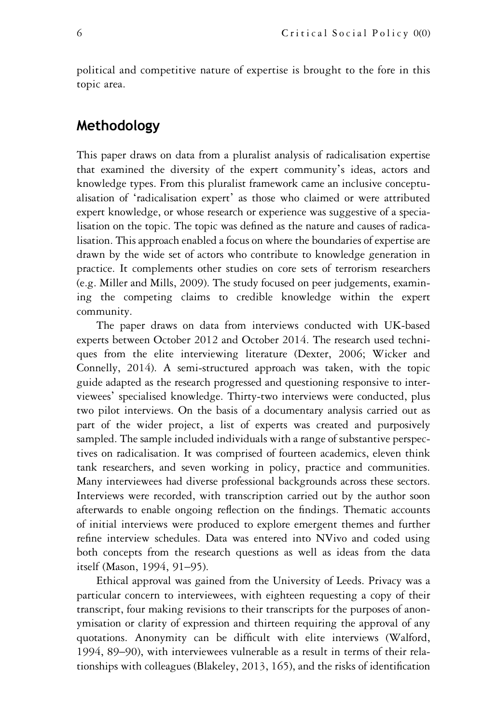political and competitive nature of expertise is brought to the fore in this topic area.

# Methodology

This paper draws on data from a pluralist analysis of radicalisation expertise that examined the diversity of the expert community's ideas, actors and knowledge types. From this pluralist framework came an inclusive conceptualisation of 'radicalisation expert' as those who claimed or were attributed expert knowledge, or whose research or experience was suggestive of a specialisation on the topic. The topic was defined as the nature and causes of radicalisation. This approach enabled a focus on where the boundaries of expertise are drawn by the wide set of actors who contribute to knowledge generation in practice. It complements other studies on core sets of terrorism researchers (e.g. Miller and Mills, 2009). The study focused on peer judgements, examining the competing claims to credible knowledge within the expert community.

The paper draws on data from interviews conducted with UK-based experts between October 2012 and October 2014. The research used techniques from the elite interviewing literature (Dexter, 2006; Wicker and Connelly, 2014). A semi-structured approach was taken, with the topic guide adapted as the research progressed and questioning responsive to interviewees' specialised knowledge. Thirty-two interviews were conducted, plus two pilot interviews. On the basis of a documentary analysis carried out as part of the wider project, a list of experts was created and purposively sampled. The sample included individuals with a range of substantive perspectives on radicalisation. It was comprised of fourteen academics, eleven think tank researchers, and seven working in policy, practice and communities. Many interviewees had diverse professional backgrounds across these sectors. Interviews were recorded, with transcription carried out by the author soon afterwards to enable ongoing reflection on the findings. Thematic accounts of initial interviews were produced to explore emergent themes and further refine interview schedules. Data was entered into NVivo and coded using both concepts from the research questions as well as ideas from the data itself (Mason, 1994, 91–95).

Ethical approval was gained from the University of Leeds. Privacy was a particular concern to interviewees, with eighteen requesting a copy of their transcript, four making revisions to their transcripts for the purposes of anonymisation or clarity of expression and thirteen requiring the approval of any quotations. Anonymity can be difficult with elite interviews (Walford, 1994, 89–90), with interviewees vulnerable as a result in terms of their relationships with colleagues (Blakeley, 2013, 165), and the risks of identification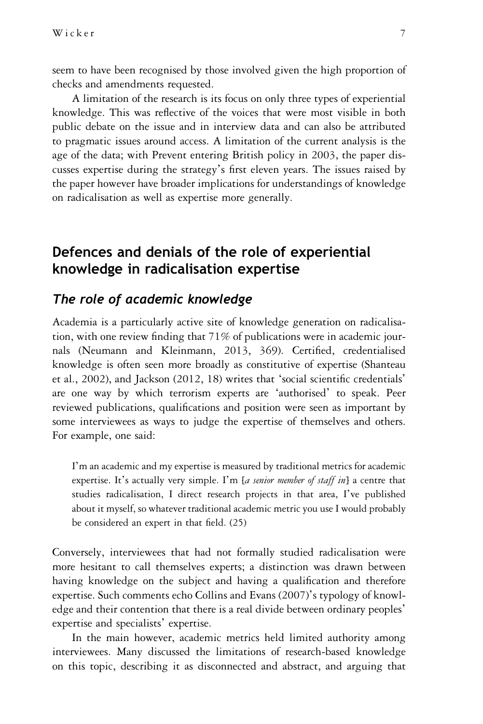seem to have been recognised by those involved given the high proportion of checks and amendments requested.

A limitation of the research is its focus on only three types of experiential knowledge. This was reflective of the voices that were most visible in both public debate on the issue and in interview data and can also be attributed to pragmatic issues around access. A limitation of the current analysis is the age of the data; with Prevent entering British policy in 2003, the paper discusses expertise during the strategy's first eleven years. The issues raised by the paper however have broader implications for understandings of knowledge on radicalisation as well as expertise more generally.

# Defences and denials of the role of experiential knowledge in radicalisation expertise

### The role of academic knowledge

Academia is a particularly active site of knowledge generation on radicalisation, with one review finding that 71% of publications were in academic journals (Neumann and Kleinmann, 2013, 369). Certified, credentialised knowledge is often seen more broadly as constitutive of expertise (Shanteau et al., 2002), and Jackson (2012, 18) writes that 'social scientific credentials' are one way by which terrorism experts are 'authorised' to speak. Peer reviewed publications, qualifications and position were seen as important by some interviewees as ways to judge the expertise of themselves and others. For example, one said:

I'm an academic and my expertise is measured by traditional metrics for academic expertise. It's actually very simple. I'm [a senior member of staff in] a centre that studies radicalisation, I direct research projects in that area, I've published about it myself, so whatever traditional academic metric you use I would probably be considered an expert in that field. (25)

Conversely, interviewees that had not formally studied radicalisation were more hesitant to call themselves experts; a distinction was drawn between having knowledge on the subject and having a qualification and therefore expertise. Such comments echo Collins and Evans (2007)'s typology of knowledge and their contention that there is a real divide between ordinary peoples' expertise and specialists' expertise.

In the main however, academic metrics held limited authority among interviewees. Many discussed the limitations of research-based knowledge on this topic, describing it as disconnected and abstract, and arguing that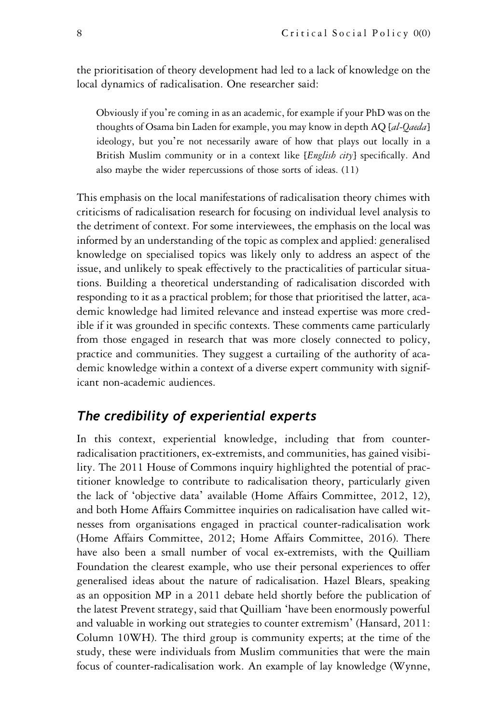the prioritisation of theory development had led to a lack of knowledge on the local dynamics of radicalisation. One researcher said:

Obviously if you're coming in as an academic, for example if your PhD was on the thoughts of Osama bin Laden for example, you may know in depth AQ [al-Qaeda] ideology, but you're not necessarily aware of how that plays out locally in a British Muslim community or in a context like [*English city*] specifically. And also maybe the wider repercussions of those sorts of ideas. (11)

This emphasis on the local manifestations of radicalisation theory chimes with criticisms of radicalisation research for focusing on individual level analysis to the detriment of context. For some interviewees, the emphasis on the local was informed by an understanding of the topic as complex and applied: generalised knowledge on specialised topics was likely only to address an aspect of the issue, and unlikely to speak effectively to the practicalities of particular situations. Building a theoretical understanding of radicalisation discorded with responding to it as a practical problem; for those that prioritised the latter, academic knowledge had limited relevance and instead expertise was more credible if it was grounded in specific contexts. These comments came particularly from those engaged in research that was more closely connected to policy, practice and communities. They suggest a curtailing of the authority of academic knowledge within a context of a diverse expert community with significant non-academic audiences.

### The credibility of experiential experts

In this context, experiential knowledge, including that from counterradicalisation practitioners, ex-extremists, and communities, has gained visibility. The 2011 House of Commons inquiry highlighted the potential of practitioner knowledge to contribute to radicalisation theory, particularly given the lack of 'objective data' available (Home Affairs Committee, 2012, 12), and both Home Affairs Committee inquiries on radicalisation have called witnesses from organisations engaged in practical counter-radicalisation work (Home Affairs Committee, 2012; Home Affairs Committee, 2016). There have also been a small number of vocal ex-extremists, with the Quilliam Foundation the clearest example, who use their personal experiences to offer generalised ideas about the nature of radicalisation. Hazel Blears, speaking as an opposition MP in a 2011 debate held shortly before the publication of the latest Prevent strategy, said that Quilliam 'have been enormously powerful and valuable in working out strategies to counter extremism' (Hansard, 2011: Column 10WH). The third group is community experts; at the time of the study, these were individuals from Muslim communities that were the main focus of counter-radicalisation work. An example of lay knowledge (Wynne,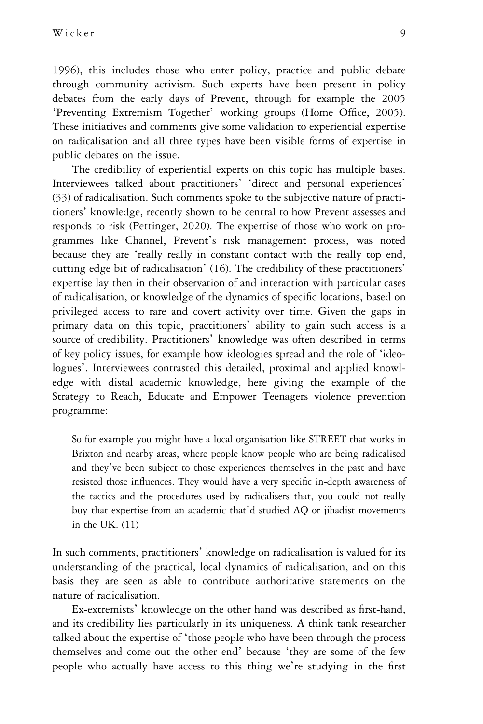1996), this includes those who enter policy, practice and public debate through community activism. Such experts have been present in policy debates from the early days of Prevent, through for example the 2005 'Preventing Extremism Together' working groups (Home Office, 2005). These initiatives and comments give some validation to experiential expertise on radicalisation and all three types have been visible forms of expertise in public debates on the issue.

The credibility of experiential experts on this topic has multiple bases. Interviewees talked about practitioners' 'direct and personal experiences' (33) of radicalisation. Such comments spoke to the subjective nature of practitioners' knowledge, recently shown to be central to how Prevent assesses and responds to risk (Pettinger, 2020). The expertise of those who work on programmes like Channel, Prevent's risk management process, was noted because they are 'really really in constant contact with the really top end, cutting edge bit of radicalisation' (16). The credibility of these practitioners' expertise lay then in their observation of and interaction with particular cases of radicalisation, or knowledge of the dynamics of specific locations, based on privileged access to rare and covert activity over time. Given the gaps in primary data on this topic, practitioners' ability to gain such access is a source of credibility. Practitioners' knowledge was often described in terms of key policy issues, for example how ideologies spread and the role of 'ideologues'. Interviewees contrasted this detailed, proximal and applied knowledge with distal academic knowledge, here giving the example of the Strategy to Reach, Educate and Empower Teenagers violence prevention programme:

So for example you might have a local organisation like STREET that works in Brixton and nearby areas, where people know people who are being radicalised and they've been subject to those experiences themselves in the past and have resisted those influences. They would have a very specific in-depth awareness of the tactics and the procedures used by radicalisers that, you could not really buy that expertise from an academic that'd studied AQ or jihadist movements in the UK. (11)

In such comments, practitioners' knowledge on radicalisation is valued for its understanding of the practical, local dynamics of radicalisation, and on this basis they are seen as able to contribute authoritative statements on the nature of radicalisation.

Ex-extremists' knowledge on the other hand was described as first-hand, and its credibility lies particularly in its uniqueness. A think tank researcher talked about the expertise of 'those people who have been through the process themselves and come out the other end' because 'they are some of the few people who actually have access to this thing we're studying in the first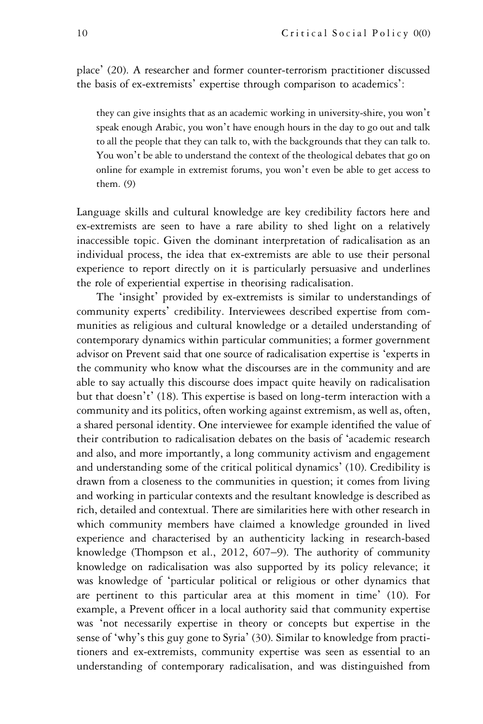place' (20). A researcher and former counter-terrorism practitioner discussed the basis of ex-extremists' expertise through comparison to academics':

they can give insights that as an academic working in university-shire, you won't speak enough Arabic, you won't have enough hours in the day to go out and talk to all the people that they can talk to, with the backgrounds that they can talk to. You won't be able to understand the context of the theological debates that go on online for example in extremist forums, you won't even be able to get access to them. (9)

Language skills and cultural knowledge are key credibility factors here and ex-extremists are seen to have a rare ability to shed light on a relatively inaccessible topic. Given the dominant interpretation of radicalisation as an individual process, the idea that ex-extremists are able to use their personal experience to report directly on it is particularly persuasive and underlines the role of experiential expertise in theorising radicalisation.

The 'insight' provided by ex-extremists is similar to understandings of community experts' credibility. Interviewees described expertise from communities as religious and cultural knowledge or a detailed understanding of contemporary dynamics within particular communities; a former government advisor on Prevent said that one source of radicalisation expertise is 'experts in the community who know what the discourses are in the community and are able to say actually this discourse does impact quite heavily on radicalisation but that doesn't' (18). This expertise is based on long-term interaction with a community and its politics, often working against extremism, as well as, often, a shared personal identity. One interviewee for example identified the value of their contribution to radicalisation debates on the basis of 'academic research and also, and more importantly, a long community activism and engagement and understanding some of the critical political dynamics' (10). Credibility is drawn from a closeness to the communities in question; it comes from living and working in particular contexts and the resultant knowledge is described as rich, detailed and contextual. There are similarities here with other research in which community members have claimed a knowledge grounded in lived experience and characterised by an authenticity lacking in research-based knowledge (Thompson et al., 2012, 607–9). The authority of community knowledge on radicalisation was also supported by its policy relevance; it was knowledge of 'particular political or religious or other dynamics that are pertinent to this particular area at this moment in time' (10). For example, a Prevent officer in a local authority said that community expertise was 'not necessarily expertise in theory or concepts but expertise in the sense of 'why's this guy gone to Syria' (30). Similar to knowledge from practitioners and ex-extremists, community expertise was seen as essential to an understanding of contemporary radicalisation, and was distinguished from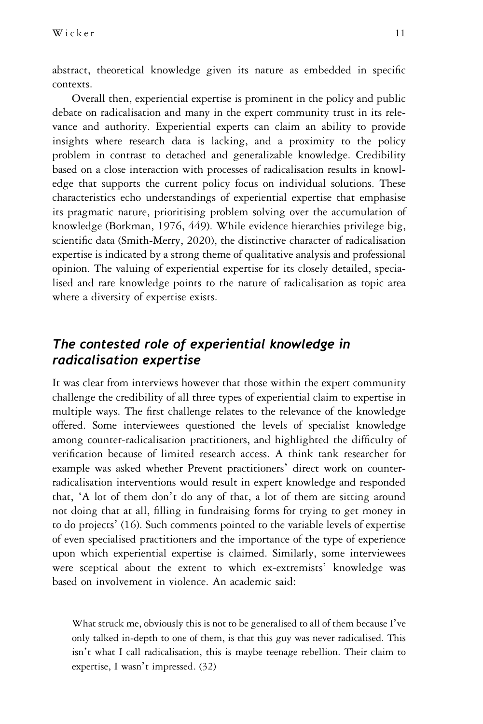abstract, theoretical knowledge given its nature as embedded in specific contexts.

Overall then, experiential expertise is prominent in the policy and public debate on radicalisation and many in the expert community trust in its relevance and authority. Experiential experts can claim an ability to provide insights where research data is lacking, and a proximity to the policy problem in contrast to detached and generalizable knowledge. Credibility based on a close interaction with processes of radicalisation results in knowledge that supports the current policy focus on individual solutions. These characteristics echo understandings of experiential expertise that emphasise its pragmatic nature, prioritising problem solving over the accumulation of knowledge (Borkman, 1976, 449). While evidence hierarchies privilege big, scientific data (Smith-Merry, 2020), the distinctive character of radicalisation expertise is indicated by a strong theme of qualitative analysis and professional opinion. The valuing of experiential expertise for its closely detailed, specialised and rare knowledge points to the nature of radicalisation as topic area where a diversity of expertise exists.

# The contested role of experiential knowledge in radicalisation expertise

It was clear from interviews however that those within the expert community challenge the credibility of all three types of experiential claim to expertise in multiple ways. The first challenge relates to the relevance of the knowledge offered. Some interviewees questioned the levels of specialist knowledge among counter-radicalisation practitioners, and highlighted the difficulty of verification because of limited research access. A think tank researcher for example was asked whether Prevent practitioners' direct work on counterradicalisation interventions would result in expert knowledge and responded that, 'A lot of them don't do any of that, a lot of them are sitting around not doing that at all, filling in fundraising forms for trying to get money in to do projects' (16). Such comments pointed to the variable levels of expertise of even specialised practitioners and the importance of the type of experience upon which experiential expertise is claimed. Similarly, some interviewees were sceptical about the extent to which ex-extremists' knowledge was based on involvement in violence. An academic said:

What struck me, obviously this is not to be generalised to all of them because I've only talked in-depth to one of them, is that this guy was never radicalised. This isn't what I call radicalisation, this is maybe teenage rebellion. Their claim to expertise, I wasn't impressed. (32)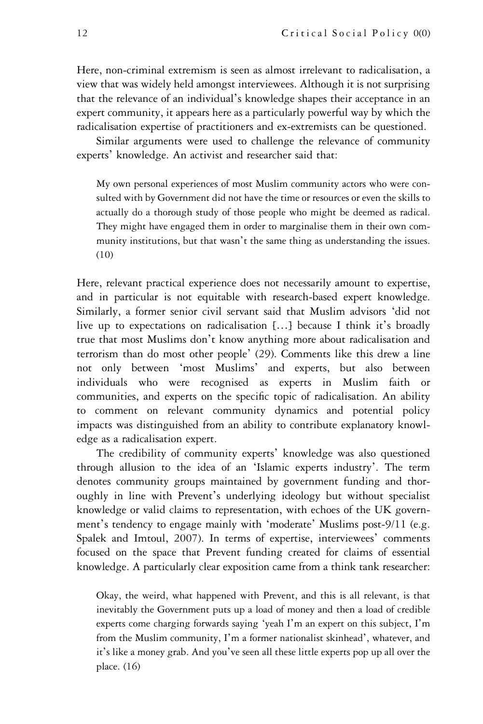Here, non-criminal extremism is seen as almost irrelevant to radicalisation, a view that was widely held amongst interviewees. Although it is not surprising that the relevance of an individual's knowledge shapes their acceptance in an expert community, it appears here as a particularly powerful way by which the radicalisation expertise of practitioners and ex-extremists can be questioned.

Similar arguments were used to challenge the relevance of community experts' knowledge. An activist and researcher said that:

My own personal experiences of most Muslim community actors who were consulted with by Government did not have the time or resources or even the skills to actually do a thorough study of those people who might be deemed as radical. They might have engaged them in order to marginalise them in their own community institutions, but that wasn't the same thing as understanding the issues. (10)

Here, relevant practical experience does not necessarily amount to expertise, and in particular is not equitable with research-based expert knowledge. Similarly, a former senior civil servant said that Muslim advisors 'did not live up to expectations on radicalisation […] because I think it's broadly true that most Muslims don't know anything more about radicalisation and terrorism than do most other people' (29). Comments like this drew a line not only between 'most Muslims' and experts, but also between individuals who were recognised as experts in Muslim faith or communities, and experts on the specific topic of radicalisation. An ability to comment on relevant community dynamics and potential policy impacts was distinguished from an ability to contribute explanatory knowledge as a radicalisation expert.

The credibility of community experts' knowledge was also questioned through allusion to the idea of an 'Islamic experts industry'. The term denotes community groups maintained by government funding and thoroughly in line with Prevent's underlying ideology but without specialist knowledge or valid claims to representation, with echoes of the UK government's tendency to engage mainly with 'moderate' Muslims post-9/11 (e.g. Spalek and Imtoul, 2007). In terms of expertise, interviewees' comments focused on the space that Prevent funding created for claims of essential knowledge. A particularly clear exposition came from a think tank researcher:

Okay, the weird, what happened with Prevent, and this is all relevant, is that inevitably the Government puts up a load of money and then a load of credible experts come charging forwards saying 'yeah I'm an expert on this subject, I'm from the Muslim community, I'm a former nationalist skinhead', whatever, and it's like a money grab. And you've seen all these little experts pop up all over the place. (16)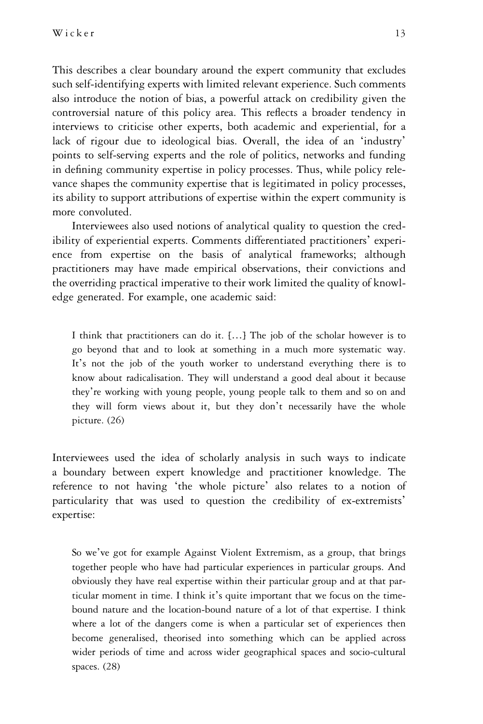This describes a clear boundary around the expert community that excludes such self-identifying experts with limited relevant experience. Such comments also introduce the notion of bias, a powerful attack on credibility given the controversial nature of this policy area. This reflects a broader tendency in interviews to criticise other experts, both academic and experiential, for a lack of rigour due to ideological bias. Overall, the idea of an 'industry' points to self-serving experts and the role of politics, networks and funding in defining community expertise in policy processes. Thus, while policy relevance shapes the community expertise that is legitimated in policy processes, its ability to support attributions of expertise within the expert community is more convoluted.

Interviewees also used notions of analytical quality to question the credibility of experiential experts. Comments differentiated practitioners' experience from expertise on the basis of analytical frameworks; although practitioners may have made empirical observations, their convictions and the overriding practical imperative to their work limited the quality of knowledge generated. For example, one academic said:

I think that practitioners can do it. […] The job of the scholar however is to go beyond that and to look at something in a much more systematic way. It's not the job of the youth worker to understand everything there is to know about radicalisation. They will understand a good deal about it because they're working with young people, young people talk to them and so on and they will form views about it, but they don't necessarily have the whole picture. (26)

Interviewees used the idea of scholarly analysis in such ways to indicate a boundary between expert knowledge and practitioner knowledge. The reference to not having 'the whole picture' also relates to a notion of particularity that was used to question the credibility of ex-extremists' expertise:

So we've got for example Against Violent Extremism, as a group, that brings together people who have had particular experiences in particular groups. And obviously they have real expertise within their particular group and at that particular moment in time. I think it's quite important that we focus on the timebound nature and the location-bound nature of a lot of that expertise. I think where a lot of the dangers come is when a particular set of experiences then become generalised, theorised into something which can be applied across wider periods of time and across wider geographical spaces and socio-cultural spaces. (28)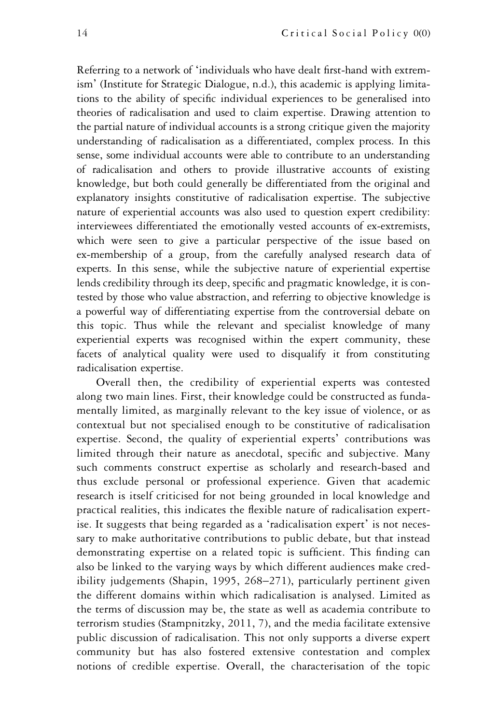Referring to a network of 'individuals who have dealt first-hand with extremism' (Institute for Strategic Dialogue, n.d.), this academic is applying limitations to the ability of specific individual experiences to be generalised into theories of radicalisation and used to claim expertise. Drawing attention to the partial nature of individual accounts is a strong critique given the majority understanding of radicalisation as a differentiated, complex process. In this sense, some individual accounts were able to contribute to an understanding of radicalisation and others to provide illustrative accounts of existing knowledge, but both could generally be differentiated from the original and explanatory insights constitutive of radicalisation expertise. The subjective nature of experiential accounts was also used to question expert credibility: interviewees differentiated the emotionally vested accounts of ex-extremists, which were seen to give a particular perspective of the issue based on ex-membership of a group, from the carefully analysed research data of experts. In this sense, while the subjective nature of experiential expertise lends credibility through its deep, specific and pragmatic knowledge, it is contested by those who value abstraction, and referring to objective knowledge is a powerful way of differentiating expertise from the controversial debate on this topic. Thus while the relevant and specialist knowledge of many experiential experts was recognised within the expert community, these facets of analytical quality were used to disqualify it from constituting radicalisation expertise.

Overall then, the credibility of experiential experts was contested along two main lines. First, their knowledge could be constructed as fundamentally limited, as marginally relevant to the key issue of violence, or as contextual but not specialised enough to be constitutive of radicalisation expertise. Second, the quality of experiential experts' contributions was limited through their nature as anecdotal, specific and subjective. Many such comments construct expertise as scholarly and research-based and thus exclude personal or professional experience. Given that academic research is itself criticised for not being grounded in local knowledge and practical realities, this indicates the flexible nature of radicalisation expertise. It suggests that being regarded as a 'radicalisation expert' is not necessary to make authoritative contributions to public debate, but that instead demonstrating expertise on a related topic is sufficient. This finding can also be linked to the varying ways by which different audiences make credibility judgements (Shapin, 1995, 268–271), particularly pertinent given the different domains within which radicalisation is analysed. Limited as the terms of discussion may be, the state as well as academia contribute to terrorism studies (Stampnitzky, 2011, 7), and the media facilitate extensive public discussion of radicalisation. This not only supports a diverse expert community but has also fostered extensive contestation and complex notions of credible expertise. Overall, the characterisation of the topic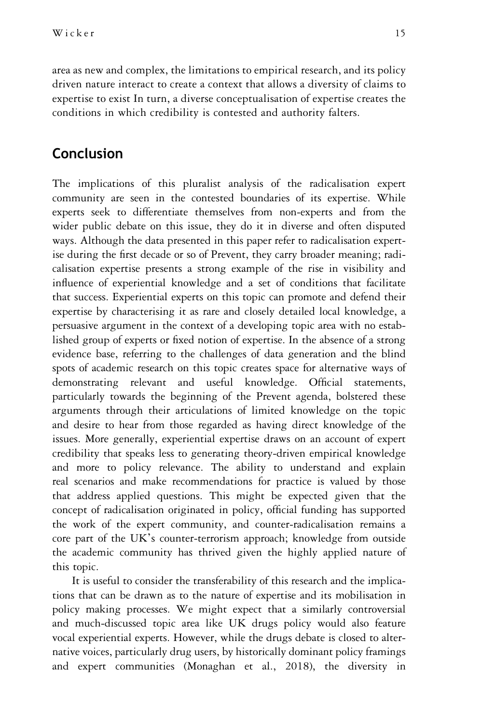area as new and complex, the limitations to empirical research, and its policy driven nature interact to create a context that allows a diversity of claims to expertise to exist In turn, a diverse conceptualisation of expertise creates the conditions in which credibility is contested and authority falters.

# Conclusion

The implications of this pluralist analysis of the radicalisation expert community are seen in the contested boundaries of its expertise. While experts seek to differentiate themselves from non-experts and from the wider public debate on this issue, they do it in diverse and often disputed ways. Although the data presented in this paper refer to radicalisation expertise during the first decade or so of Prevent, they carry broader meaning; radicalisation expertise presents a strong example of the rise in visibility and influence of experiential knowledge and a set of conditions that facilitate that success. Experiential experts on this topic can promote and defend their expertise by characterising it as rare and closely detailed local knowledge, a persuasive argument in the context of a developing topic area with no established group of experts or fixed notion of expertise. In the absence of a strong evidence base, referring to the challenges of data generation and the blind spots of academic research on this topic creates space for alternative ways of demonstrating relevant and useful knowledge. Official statements, particularly towards the beginning of the Prevent agenda, bolstered these arguments through their articulations of limited knowledge on the topic and desire to hear from those regarded as having direct knowledge of the issues. More generally, experiential expertise draws on an account of expert credibility that speaks less to generating theory-driven empirical knowledge and more to policy relevance. The ability to understand and explain real scenarios and make recommendations for practice is valued by those that address applied questions. This might be expected given that the concept of radicalisation originated in policy, official funding has supported the work of the expert community, and counter-radicalisation remains a core part of the UK's counter-terrorism approach; knowledge from outside the academic community has thrived given the highly applied nature of this topic.

It is useful to consider the transferability of this research and the implications that can be drawn as to the nature of expertise and its mobilisation in policy making processes. We might expect that a similarly controversial and much-discussed topic area like UK drugs policy would also feature vocal experiential experts. However, while the drugs debate is closed to alternative voices, particularly drug users, by historically dominant policy framings and expert communities (Monaghan et al., 2018), the diversity in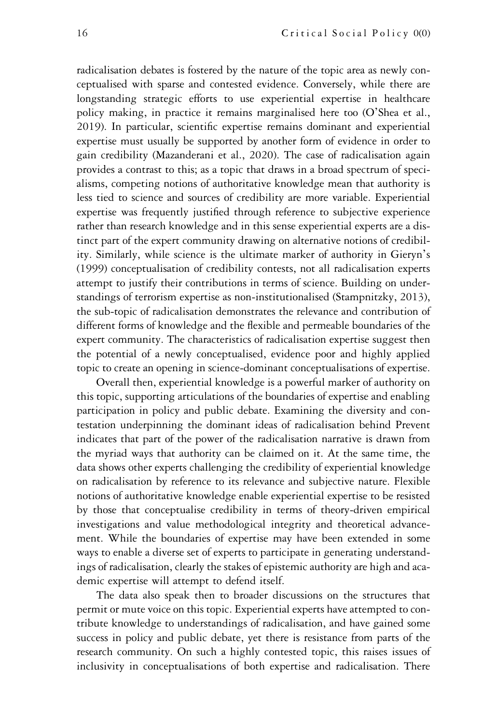radicalisation debates is fostered by the nature of the topic area as newly conceptualised with sparse and contested evidence. Conversely, while there are longstanding strategic efforts to use experiential expertise in healthcare policy making, in practice it remains marginalised here too (O'Shea et al., 2019). In particular, scientific expertise remains dominant and experiential expertise must usually be supported by another form of evidence in order to gain credibility (Mazanderani et al., 2020). The case of radicalisation again provides a contrast to this; as a topic that draws in a broad spectrum of specialisms, competing notions of authoritative knowledge mean that authority is less tied to science and sources of credibility are more variable. Experiential expertise was frequently justified through reference to subjective experience rather than research knowledge and in this sense experiential experts are a distinct part of the expert community drawing on alternative notions of credibility. Similarly, while science is the ultimate marker of authority in Gieryn's (1999) conceptualisation of credibility contests, not all radicalisation experts attempt to justify their contributions in terms of science. Building on understandings of terrorism expertise as non-institutionalised (Stampnitzky, 2013), the sub-topic of radicalisation demonstrates the relevance and contribution of different forms of knowledge and the flexible and permeable boundaries of the expert community. The characteristics of radicalisation expertise suggest then the potential of a newly conceptualised, evidence poor and highly applied topic to create an opening in science-dominant conceptualisations of expertise.

Overall then, experiential knowledge is a powerful marker of authority on this topic, supporting articulations of the boundaries of expertise and enabling participation in policy and public debate. Examining the diversity and contestation underpinning the dominant ideas of radicalisation behind Prevent indicates that part of the power of the radicalisation narrative is drawn from the myriad ways that authority can be claimed on it. At the same time, the data shows other experts challenging the credibility of experiential knowledge on radicalisation by reference to its relevance and subjective nature. Flexible notions of authoritative knowledge enable experiential expertise to be resisted by those that conceptualise credibility in terms of theory-driven empirical investigations and value methodological integrity and theoretical advancement. While the boundaries of expertise may have been extended in some ways to enable a diverse set of experts to participate in generating understandings of radicalisation, clearly the stakes of epistemic authority are high and academic expertise will attempt to defend itself.

The data also speak then to broader discussions on the structures that permit or mute voice on this topic. Experiential experts have attempted to contribute knowledge to understandings of radicalisation, and have gained some success in policy and public debate, yet there is resistance from parts of the research community. On such a highly contested topic, this raises issues of inclusivity in conceptualisations of both expertise and radicalisation. There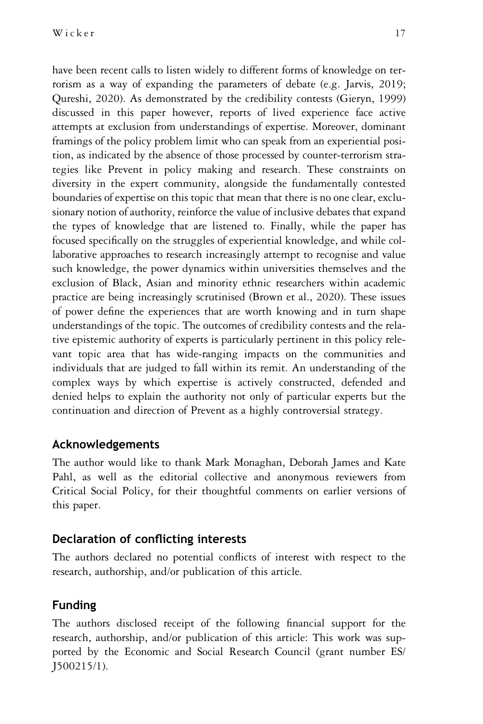have been recent calls to listen widely to different forms of knowledge on terrorism as a way of expanding the parameters of debate (e.g. Jarvis, 2019; Qureshi, 2020). As demonstrated by the credibility contests (Gieryn, 1999) discussed in this paper however, reports of lived experience face active attempts at exclusion from understandings of expertise. Moreover, dominant framings of the policy problem limit who can speak from an experiential position, as indicated by the absence of those processed by counter-terrorism strategies like Prevent in policy making and research. These constraints on diversity in the expert community, alongside the fundamentally contested boundaries of expertise on this topic that mean that there is no one clear, exclusionary notion of authority, reinforce the value of inclusive debates that expand the types of knowledge that are listened to. Finally, while the paper has focused specifically on the struggles of experiential knowledge, and while collaborative approaches to research increasingly attempt to recognise and value such knowledge, the power dynamics within universities themselves and the exclusion of Black, Asian and minority ethnic researchers within academic practice are being increasingly scrutinised (Brown et al., 2020). These issues of power define the experiences that are worth knowing and in turn shape understandings of the topic. The outcomes of credibility contests and the relative epistemic authority of experts is particularly pertinent in this policy relevant topic area that has wide-ranging impacts on the communities and individuals that are judged to fall within its remit. An understanding of the complex ways by which expertise is actively constructed, defended and denied helps to explain the authority not only of particular experts but the continuation and direction of Prevent as a highly controversial strategy.

#### Acknowledgements

The author would like to thank Mark Monaghan, Deborah James and Kate Pahl, as well as the editorial collective and anonymous reviewers from Critical Social Policy, for their thoughtful comments on earlier versions of this paper.

### Declaration of conflicting interests

The authors declared no potential conflicts of interest with respect to the research, authorship, and/or publication of this article.

### Funding

The authors disclosed receipt of the following financial support for the research, authorship, and/or publication of this article: This work was supported by the Economic and Social Research Council (grant number ES/ J500215/1).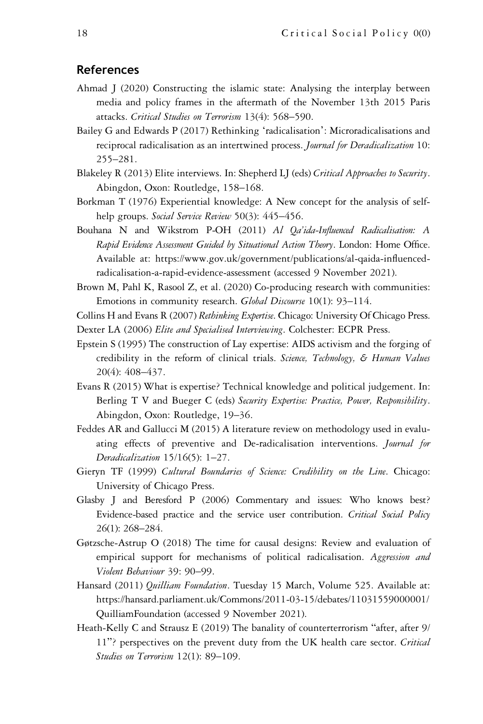#### References

- Ahmad J (2020) Constructing the islamic state: Analysing the interplay between media and policy frames in the aftermath of the November 13th 2015 Paris attacks. Critical Studies on Terrorism 13(4): 568-590.
- Bailey G and Edwards P (2017) Rethinking 'radicalisation': Microradicalisations and reciprocal radicalisation as an intertwined process. Journal for Deradicalization 10: 255–281.
- Blakeley R (2013) Elite interviews. In: Shepherd LJ (eds) Critical Approaches to Security. Abingdon, Oxon: Routledge, 158–168.
- Borkman T (1976) Experiential knowledge: A New concept for the analysis of selfhelp groups. Social Service Review 50(3): 445–456.
- Bouhana N and Wikstrom P-OH (2011) Al Qa'ida-Influenced Radicalisation: A Rapid Evidence Assessment Guided by Situational Action Theory. London: Home Office. Available at: [https://www.gov.uk/government/publications/al-qaida-in](https://www.gov.uk/government/publications/al-qaida-influenced-radicalisation-a-rapid-evidence-assessment)fluenced[radicalisation-a-rapid-evidence-assessment](https://www.gov.uk/government/publications/al-qaida-influenced-radicalisation-a-rapid-evidence-assessment) (accessed 9 November 2021).
- Brown M, Pahl K, Rasool Z, et al. (2020) Co-producing research with communities: Emotions in community research. Global Discourse 10(1): 93-114.

Collins H and Evans R (2007) Rethinking Expertise. Chicago: University Of Chicago Press.

- Dexter LA (2006) Elite and Specialised Interviewing. Colchester: ECPR Press.
- Epstein S (1995) The construction of Lay expertise: AIDS activism and the forging of credibility in the reform of clinical trials. Science, Technology, & Human Values 20(4): 408–437.
- Evans R (2015) What is expertise? Technical knowledge and political judgement. In: Berling T V and Bueger C (eds) Security Expertise: Practice, Power, Responsibility. Abingdon, Oxon: Routledge, 19–36.
- Feddes AR and Gallucci M (2015) A literature review on methodology used in evaluating effects of preventive and De-radicalisation interventions. Journal for Deradicalization 15/16(5): 1–27.
- Gieryn TF (1999) Cultural Boundaries of Science: Credibility on the Line. Chicago: University of Chicago Press.
- Glasby J and Beresford P (2006) Commentary and issues: Who knows best? Evidence-based practice and the service user contribution. Critical Social Policy 26(1): 268–284.
- Gøtzsche-Astrup O (2018) The time for causal designs: Review and evaluation of empirical support for mechanisms of political radicalisation. Aggression and Violent Behaviour 39: 90–99.
- Hansard (2011) *Quilliam Foundation*. Tuesday 15 March, Volume 525. Available at: [https://hansard.parliament.uk/Commons/2011-03-15/debates/11031559000001/](https://hansard.parliament.uk/Commons/2011-03-15/debates/11031559000001/QuilliamFoundation) [QuilliamFoundation](https://hansard.parliament.uk/Commons/2011-03-15/debates/11031559000001/QuilliamFoundation) (accessed 9 November 2021).
- Heath-Kelly C and Strausz E (2019) The banality of counterterrorism "after, after 9/ 11"? perspectives on the prevent duty from the UK health care sector. Critical Studies on Terrorism 12(1): 89-109.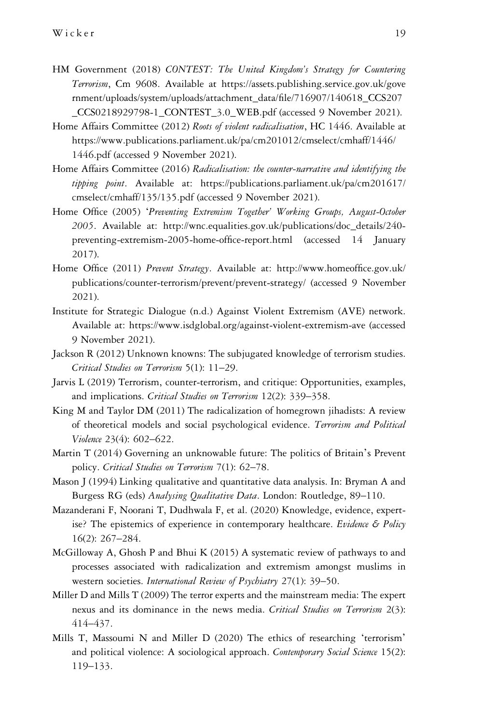- HM Government (2018) CONTEST: The United Kingdom's Strategy for Countering Terrorism, Cm 9608. Available at [https://assets.publishing.service.gov.uk/gove](https://assets.publishing.service.gov.uk/government/uploads/system/uploads/attachment_data/file/716907/140618_CCS207_CCS0218929798-1_CONTEST_3.0_WEB.pdf) [rnment/uploads/system/uploads/attachment\\_data/](https://assets.publishing.service.gov.uk/government/uploads/system/uploads/attachment_data/file/716907/140618_CCS207_CCS0218929798-1_CONTEST_3.0_WEB.pdf)file/716907/140618\_CCS207 [\\_CCS0218929798-1\\_CONTEST\\_3.0\\_WEB.pdf](https://assets.publishing.service.gov.uk/government/uploads/system/uploads/attachment_data/file/716907/140618_CCS207_CCS0218929798-1_CONTEST_3.0_WEB.pdf) (accessed 9 November 2021).
- Home Affairs Committee (2012) Roots of violent radicalisation, HC 1446. Available at [https://www.publications.parliament.uk/pa/cm201012/cmselect/cmhaff/1446/](https://www.publications.parliament.uk/pa/cm201012/cmselect/cmhaff/1446/1446.pdf) [1446.pdf](https://www.publications.parliament.uk/pa/cm201012/cmselect/cmhaff/1446/1446.pdf) (accessed 9 November 2021).
- Home Affairs Committee (2016) Radicalisation: the counter-narrative and identifying the tipping point. Available at: [https://publications.parliament.uk/pa/cm201617/](https://publications.parliament.uk/pa/cm201617/cmselect/cmhaff/135/135.pdf) [cmselect/cmhaff/135/135.pdf](https://publications.parliament.uk/pa/cm201617/cmselect/cmhaff/135/135.pdf) (accessed 9 November 2021).
- Home Office (2005) 'Preventing Extremism Together' Working Groups, August-October 2005. Available at: [http://wnc.equalities.gov.uk/publications/doc\\_details/240](http://wnc.equalities.gov.uk/publications/doc_details/240-preventing-extremism-2005-home-office-report.html) [preventing-extremism-2005-home-of](http://wnc.equalities.gov.uk/publications/doc_details/240-preventing-extremism-2005-home-office-report.html)fice-report.html (accessed 14 January 2017).
- Home Office (2011) Prevent Strategy. Available at: [http://www.homeof](http://www.homeoffice.gov.uk/publications/counter-terrorism/prevent/prevent-strategy/)fice.gov.uk/ [publications/counter-terrorism/prevent/prevent-strategy/](http://www.homeoffice.gov.uk/publications/counter-terrorism/prevent/prevent-strategy/) (accessed 9 November 2021).
- Institute for Strategic Dialogue (n.d.) Against Violent Extremism (AVE) network. Available at:<https://www.isdglobal.org/against-violent-extremism-ave> (accessed 9 November 2021).
- Jackson R (2012) Unknown knowns: The subjugated knowledge of terrorism studies. Critical Studies on Terrorism 5(1): 11–29.
- Jarvis L (2019) Terrorism, counter-terrorism, and critique: Opportunities, examples, and implications. Critical Studies on Terrorism 12(2): 339–358.
- King M and Taylor DM (2011) The radicalization of homegrown jihadists: A review of theoretical models and social psychological evidence. Terrorism and Political Violence 23(4): 602–622.
- Martin T (2014) Governing an unknowable future: The politics of Britain's Prevent policy. Critical Studies on Terrorism 7(1): 62–78.
- Mason J (1994) Linking qualitative and quantitative data analysis. In: Bryman A and Burgess RG (eds) Analysing Qualitative Data. London: Routledge, 89-110.
- Mazanderani F, Noorani T, Dudhwala F, et al. (2020) Knowledge, evidence, expertise? The epistemics of experience in contemporary healthcare. Evidence & Policy 16(2): 267–284.
- McGilloway A, Ghosh P and Bhui K (2015) A systematic review of pathways to and processes associated with radicalization and extremism amongst muslims in western societies. International Review of Psychiatry 27(1): 39-50.
- Miller D and Mills T (2009) The terror experts and the mainstream media: The expert nexus and its dominance in the news media. Critical Studies on Terrorism 2(3): 414–437.
- Mills T, Massoumi N and Miller D (2020) The ethics of researching 'terrorism' and political violence: A sociological approach. Contemporary Social Science 15(2): 119–133.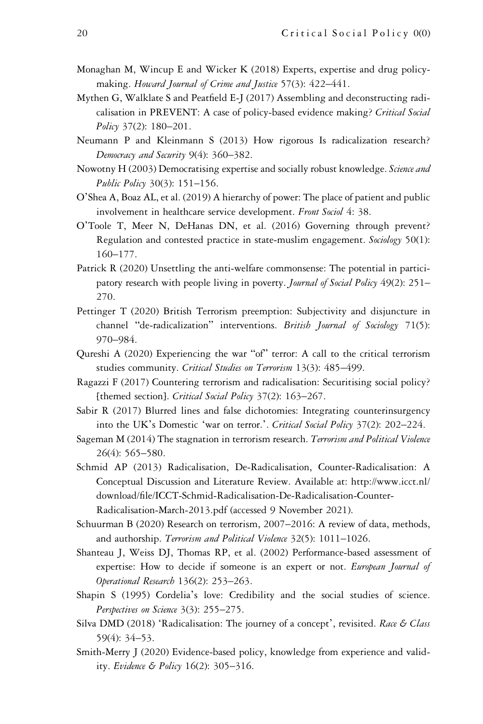- Monaghan M, Wincup E and Wicker K (2018) Experts, expertise and drug policymaking. Howard Journal of Crime and Justice 57(3): 422–441.
- Mythen G, Walklate S and Peatfield E-J (2017) Assembling and deconstructing radicalisation in PREVENT: A case of policy-based evidence making? Critical Social Policy 37(2): 180-201.
- Neumann P and Kleinmann S (2013) How rigorous Is radicalization research? Democracy and Security 9(4): 360–382.
- Nowotny H (2003) Democratising expertise and socially robust knowledge. Science and Public Policy 30(3): 151-156.
- O'Shea A, Boaz AL, et al. (2019) A hierarchy of power: The place of patient and public involvement in healthcare service development. Front Sociol 4: 38.
- O'Toole T, Meer N, DeHanas DN, et al. (2016) Governing through prevent? Regulation and contested practice in state-muslim engagement. Sociology 50(1): 160–177.
- Patrick R (2020) Unsettling the anti-welfare commonsense: The potential in participatory research with people living in poverty. Journal of Social Policy 49(2): 251– 270.
- Pettinger T (2020) British Terrorism preemption: Subjectivity and disjuncture in channel "de-radicalization" interventions. British Journal of Sociology 71(5): 970–984.
- Qureshi A (2020) Experiencing the war "of" terror: A call to the critical terrorism studies community. Critical Studies on Terrorism 13(3): 485-499.
- Ragazzi F (2017) Countering terrorism and radicalisation: Securitising social policy? [themed section]. Critical Social Policy 37(2): 163-267.
- Sabir R (2017) Blurred lines and false dichotomies: Integrating counterinsurgency into the UK's Domestic 'war on terror.'. Critical Social Policy 37(2): 202-224.
- Sageman M (2014) The stagnation in terrorism research. Terrorism and Political Violence 26(4): 565–580.
- Schmid AP (2013) Radicalisation, De-Radicalisation, Counter-Radicalisation: A Conceptual Discussion and Literature Review. Available at: [http://www.icct.nl/](http://www.icct.nl/download/file/ICCT-Schmid-Radicalisation-De-Radicalisation-Counter-Radicalisation-March-2013.pdf) download/fi[le/ICCT-Schmid-Radicalisation-De-Radicalisation-Counter-](http://www.icct.nl/download/file/ICCT-Schmid-Radicalisation-De-Radicalisation-Counter-Radicalisation-March-2013.pdf)[Radicalisation-March-2013.pdf](http://www.icct.nl/download/file/ICCT-Schmid-Radicalisation-De-Radicalisation-Counter-Radicalisation-March-2013.pdf) (accessed 9 November 2021).
- Schuurman B (2020) Research on terrorism, 2007–2016: A review of data, methods, and authorship. Terrorism and Political Violence 32(5): 1011-1026.
- Shanteau J, Weiss DJ, Thomas RP, et al. (2002) Performance-based assessment of expertise: How to decide if someone is an expert or not. European Journal of Operational Research 136(2): 253–263.
- Shapin S (1995) Cordelia's love: Credibility and the social studies of science. Perspectives on Science 3(3): 255–275.
- Silva DMD (2018) 'Radicalisation: The journey of a concept', revisited. Race & Class 59(4): 34–53.
- Smith-Merry J (2020) Evidence-based policy, knowledge from experience and validity. Evidence & Policy 16(2): 305–316.